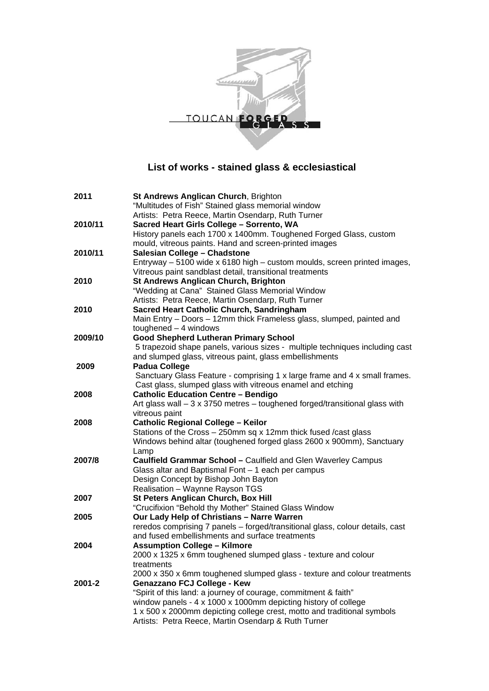

## **List of works - stained glass & ecclesiastical**

| 2011    | <b>St Andrews Anglican Church, Brighton</b>                                                         |
|---------|-----------------------------------------------------------------------------------------------------|
|         | "Multitudes of Fish" Stained glass memorial window                                                  |
|         | Artists: Petra Reece, Martin Osendarp, Ruth Turner                                                  |
| 2010/11 | Sacred Heart Girls College - Sorrento, WA                                                           |
|         | History panels each 1700 x 1400mm. Toughened Forged Glass, custom                                   |
|         | mould, vitreous paints. Hand and screen-printed images                                              |
| 2010/11 | Salesian College - Chadstone                                                                        |
|         | Entryway - 5100 wide x 6180 high - custom moulds, screen printed images,                            |
|         | Vitreous paint sandblast detail, transitional treatments                                            |
| 2010    | <b>St Andrews Anglican Church, Brighton</b>                                                         |
|         | "Wedding at Cana" Stained Glass Memorial Window                                                     |
|         | Artists: Petra Reece, Martin Osendarp, Ruth Turner                                                  |
| 2010    | Sacred Heart Catholic Church, Sandringham                                                           |
|         | Main Entry - Doors - 12mm thick Frameless glass, slumped, painted and                               |
|         | toughened $-4$ windows                                                                              |
| 2009/10 | <b>Good Shepherd Lutheran Primary School</b>                                                        |
|         | 5 trapezoid shape panels, various sizes - multiple techniques including cast                        |
|         | and slumped glass, vitreous paint, glass embellishments                                             |
| 2009    | <b>Padua College</b>                                                                                |
|         | Sanctuary Glass Feature - comprising 1 x large frame and 4 x small frames.                          |
|         | Cast glass, slumped glass with vitreous enamel and etching                                          |
| 2008    | <b>Catholic Education Centre - Bendigo</b>                                                          |
|         | Art glass wall $-3 \times 3750$ metres $-$ toughened forged/transitional glass with                 |
|         | vitreous paint                                                                                      |
| 2008    | <b>Catholic Regional College - Keilor</b>                                                           |
|         | Stations of the Cross - 250mm sq x 12mm thick fused / cast glass                                    |
|         | Windows behind altar (toughened forged glass 2600 x 900mm), Sanctuary                               |
|         | Lamp                                                                                                |
| 2007/8  | Caulfield Grammar School - Caulfield and Glen Waverley Campus                                       |
|         | Glass altar and Baptismal Font - 1 each per campus                                                  |
|         | Design Concept by Bishop John Bayton                                                                |
|         | Realisation - Waynne Rayson TGS                                                                     |
| 2007    | St Peters Anglican Church, Box Hill                                                                 |
| 2005    | "Crucifixion "Behold thy Mother" Stained Glass Window<br>Our Lady Help of Christians - Narre Warren |
|         | reredos comprising 7 panels - forged/transitional glass, colour details, cast                       |
|         | and fused embellishments and surface treatments                                                     |
| 2004    | <b>Assumption College - Kilmore</b>                                                                 |
|         | 2000 x 1325 x 6mm toughened slumped glass - texture and colour                                      |
| 2001-2  | treatments                                                                                          |
|         | 2000 x 350 x 6mm toughened slumped glass - texture and colour treatments                            |
|         | <b>Genazzano FCJ College - Kew</b>                                                                  |
|         | "Spirit of this land: a journey of courage, commitment & faith"                                     |
|         | window panels - 4 x 1000 x 1000mm depicting history of college                                      |
|         | 1 x 500 x 2000mm depicting college crest, motto and traditional symbols                             |
|         | Artists: Petra Reece, Martin Osendarp & Ruth Turner                                                 |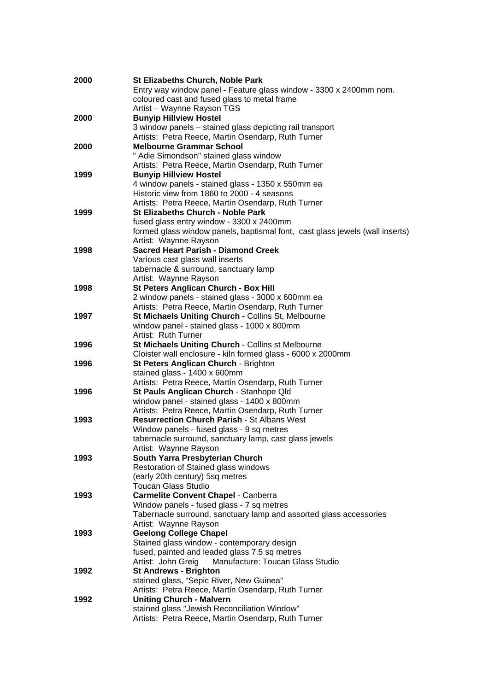| 2000 | <b>St Elizabeths Church, Noble Park</b>                                      |
|------|------------------------------------------------------------------------------|
|      | Entry way window panel - Feature glass window - 3300 x 2400mm nom.           |
|      | coloured cast and fused glass to metal frame                                 |
|      | Artist - Waynne Rayson TGS                                                   |
| 2000 | <b>Bunyip Hillview Hostel</b>                                                |
|      | 3 window panels - stained glass depicting rail transport                     |
|      | Artists: Petra Reece, Martin Osendarp, Ruth Turner                           |
| 2000 | <b>Melbourne Grammar School</b>                                              |
|      | " Adie Simondson" stained glass window                                       |
|      | Artists: Petra Reece, Martin Osendarp, Ruth Turner                           |
| 1999 | <b>Bunyip Hillview Hostel</b>                                                |
|      | 4 window panels - stained glass - 1350 x 550mm ea                            |
|      | Historic view from 1860 to 2000 - 4 seasons                                  |
|      | Artists: Petra Reece, Martin Osendarp, Ruth Turner                           |
| 1999 | <b>St Elizabeths Church - Noble Park</b>                                     |
|      | fused glass entry window - 3300 x 2400mm                                     |
|      | formed glass window panels, baptismal font, cast glass jewels (wall inserts) |
|      | Artist: Waynne Rayson                                                        |
| 1998 | <b>Sacred Heart Parish - Diamond Creek</b>                                   |
|      | Various cast glass wall inserts                                              |
|      | tabernacle & surround, sanctuary lamp                                        |
|      | Artist: Waynne Rayson                                                        |
| 1998 | St Peters Anglican Church - Box Hill                                         |
|      | 2 window panels - stained glass - 3000 x 600mm ea                            |
|      | Artists: Petra Reece, Martin Osendarp, Ruth Turner                           |
| 1997 | St Michaels Uniting Church - Collins St, Melbourne                           |
|      | window panel - stained glass - 1000 x 800mm                                  |
|      | Artist: Ruth Turner                                                          |
| 1996 | St Michaels Uniting Church - Collins st Melbourne                            |
|      | Cloister wall enclosure - kiln formed glass - 6000 x 2000mm                  |
| 1996 | St Peters Anglican Church - Brighton                                         |
|      | stained glass - 1400 x 600mm                                                 |
|      | Artists: Petra Reece, Martin Osendarp, Ruth Turner                           |
| 1996 | St Pauls Anglican Church - Stanhope Qld                                      |
|      | window panel - stained glass - 1400 x 800mm                                  |
|      | Artists: Petra Reece, Martin Osendarp, Ruth Turner                           |
| 1993 | <b>Resurrection Church Parish - St Albans West</b>                           |
|      | Window panels - fused glass - 9 sq metres                                    |
|      | tabernacle surround, sanctuary lamp, cast glass jewels                       |
|      | Artist: Waynne Rayson                                                        |
| 1993 | South Yarra Presbyterian Church                                              |
|      | Restoration of Stained glass windows                                         |
|      | (early 20th century) 5sq metres                                              |
|      | <b>Toucan Glass Studio</b>                                                   |
| 1993 | <b>Carmelite Convent Chapel - Canberra</b>                                   |
|      | Window panels - fused glass - 7 sq metres                                    |
|      | Tabernacle surround, sanctuary lamp and assorted glass accessories           |
|      | Artist: Waynne Rayson                                                        |
| 1993 | <b>Geelong College Chapel</b>                                                |
|      | Stained glass window - contemporary design                                   |
|      | fused, painted and leaded glass 7.5 sq metres                                |
|      | Artist: John Greig<br>Manufacture: Toucan Glass Studio                       |
| 1992 | <b>St Andrews - Brighton</b>                                                 |
|      | stained glass, "Sepic River, New Guinea"                                     |
|      | Artists: Petra Reece, Martin Osendarp, Ruth Turner                           |
| 1992 | <b>Uniting Church - Malvern</b>                                              |
|      | stained glass "Jewish Reconciliation Window"                                 |
|      | Artists: Petra Reece, Martin Osendarp, Ruth Turner                           |